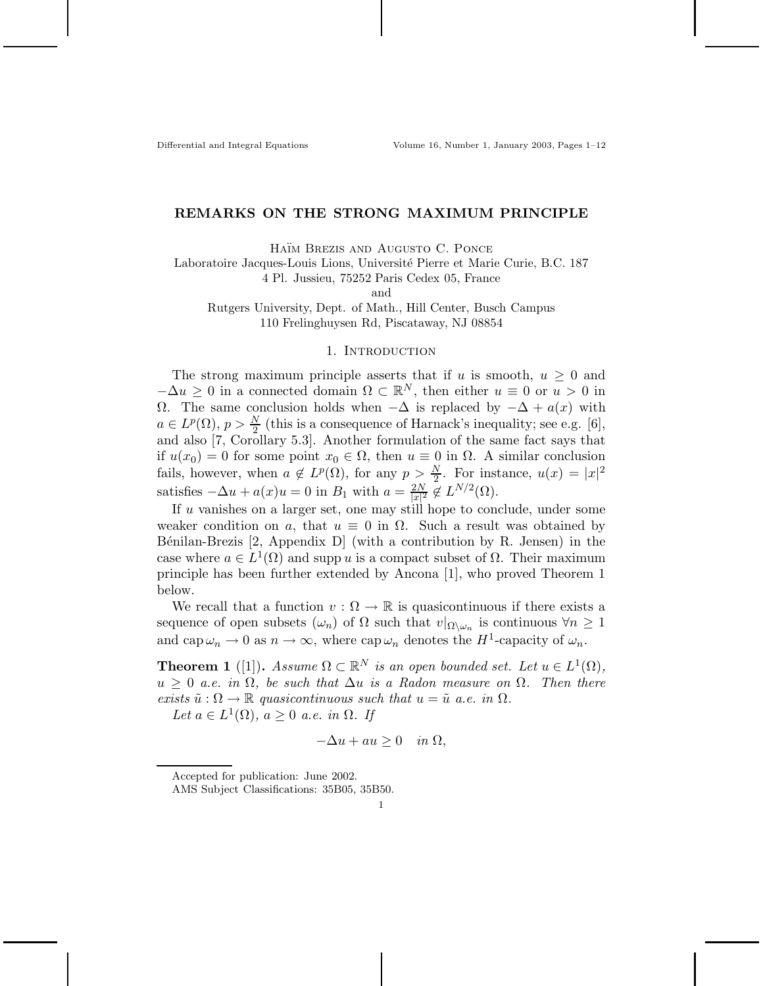Differential and Integral Equations Volume 16, Number 1, January 2003, Pages 1–12

# **REMARKS ON THE STRONG MAXIMUM PRINCIPLE**

HAÏM BREZIS AND AUGUSTO C. PONCE

Laboratoire Jacques-Louis Lions, Universit´e Pierre et Marie Curie, B.C. 187

4 Pl. Jussieu, 75252 Paris Cedex 05, France

and

Rutgers University, Dept. of Math., Hill Center, Busch Campus 110 Frelinghuysen Rd, Piscataway, NJ 08854

### 1. INTRODUCTION

The strong maximum principle asserts that if *u* is smooth,  $u \geq 0$  and  $-\Delta u \geq 0$  in a connected domain  $\Omega \subset \mathbb{R}^N$ , then either  $u \equiv 0$  or  $u > 0$  in Ω. The same conclusion holds when  $-\Delta$  is replaced by  $-\Delta + a(x)$  with  $a \in L^p(\Omega)$ ,  $p > \frac{N}{2}$  (this is a consequence of Harnack's inequality; see e.g. [6], and also [7, Corollary 5.3]. Another formulation of the same fact says that if  $u(x_0) = 0$  for some point  $x_0 \in \Omega$ , then  $u \equiv 0$  in  $\Omega$ . A similar conclusion fails, however, when  $a \notin L^p(\Omega)$ , for any  $p > \frac{N}{2}$ . For instance,  $u(x) = |x|^2$ satisfies  $-\Delta u + a(x)u = 0$  in  $B_1$  with  $a = \frac{2N}{|x|^2} \notin L^{N/2}(\Omega)$ .

If *u* vanishes on a larger set, one may still hope to conclude, under some weaker condition on *a*, that  $u \equiv 0$  in  $\Omega$ . Such a result was obtained by B $\acute{e}$ nilan-Brezis [2, Appendix D] (with a contribution by R. Jensen) in the case where  $a \in L^1(\Omega)$  and supp *u* is a compact subset of  $\Omega$ . Their maximum principle has been further extended by Ancona [1], who proved Theorem 1 below.

We recall that a function  $v : \Omega \to \mathbb{R}$  is quasicontinuous if there exists a sequence of open subsets  $(\omega_n)$  of  $\Omega$  such that  $v|_{\Omega\setminus\omega_n}$  is continuous  $\forall n\geq 1$ and  $\text{cap } \omega_n \to 0$  as  $n \to \infty$ , where  $\text{cap } \omega_n$  denotes the  $H^1$ -capacity of  $\omega_n$ .

**Theorem 1** ([1]). *Assume*  $\Omega \subset \mathbb{R}^N$  *is an open bounded set. Let*  $u \in L^1(\Omega)$ *,*  $u \geq 0$  *a.e.* in  $\Omega$ , be such that  $\Delta u$  is a Radon measure on  $\Omega$ . Then there *exists*  $\tilde{u}$  :  $\Omega \to \mathbb{R}$  *quasicontinuous such that*  $u = \tilde{u}$  *a.e. in*  $\Omega$ *.* 

 $Let a \in L^1(\Omega), a \geq 0 \text{ a.e. in } \Omega.$  If

$$
-\Delta u + au \ge 0 \quad in \ \Omega,
$$

Accepted for publication: June 2002.

AMS Subject Classifications: 35B05, 35B50.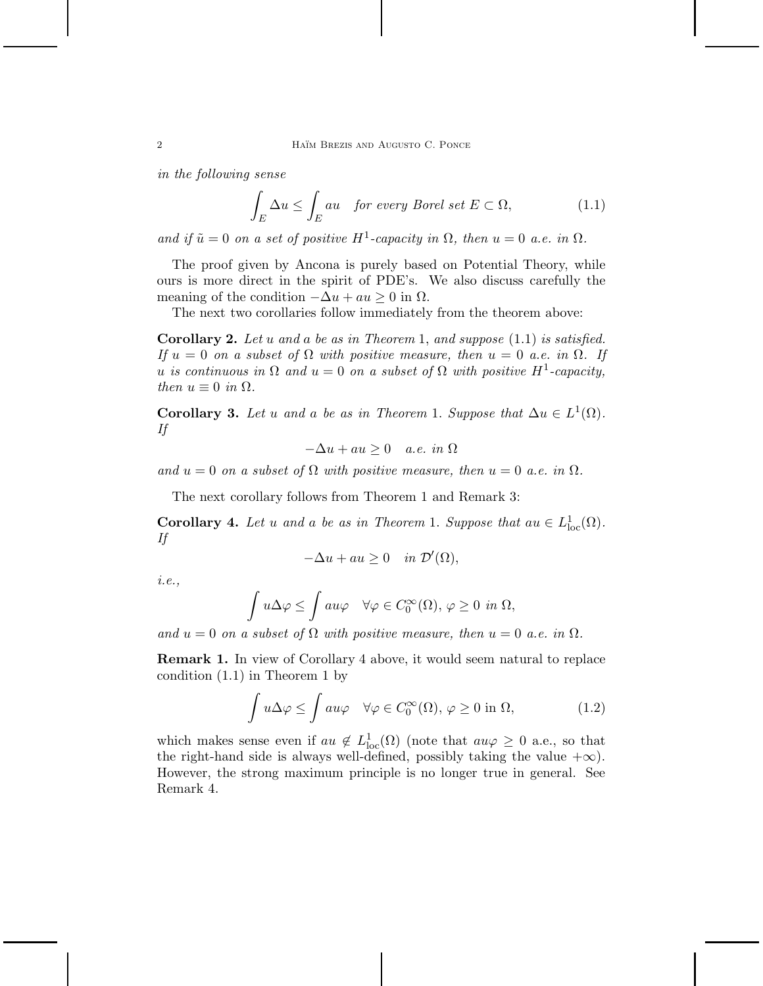*in the following sense*

$$
\int_{E} \Delta u \le \int_{E} au \quad \text{for every Borel set } E \subset \Omega,\tag{1.1}
$$

*and if*  $\tilde{u} = 0$  *on a set of positive*  $H^1$ -capacity in  $\Omega$ , then  $u = 0$  *a.e.* in  $\Omega$ .

The proof given by Ancona is purely based on Potential Theory, while ours is more direct in the spirit of PDE's. We also discuss carefully the meaning of the condition  $-\Delta u + au \geq 0$  in  $\Omega$ .

The next two corollaries follow immediately from the theorem above:

**Corollary 2.** *Let u and a be as in Theorem* 1*, and suppose* (1.1) *is satisfied. If*  $u = 0$  *on a subset of*  $\Omega$  *with positive measure, then*  $u = 0$  *a.e. in*  $\Omega$ *. If u is continuous in*  $\Omega$  *and*  $u = 0$  *on a subset of*  $\Omega$  *with positive*  $H^1$ -*capacity*, *then*  $u \equiv 0$  *in*  $\Omega$ *.* 

**Corollary 3.** Let *u* and *a* be as in Theorem 1. Suppose that  $\Delta u \in L^1(\Omega)$ . *If*

$$
-\Delta u + au \ge 0 \quad a.e. \in \Omega
$$

*and*  $u = 0$  *on a subset of*  $\Omega$  *with positive measure, then*  $u = 0$  *a.e.* in  $\Omega$ *.* 

The next corollary follows from Theorem 1 and Remark 3:

**Corollary 4.** *Let u and a be as in Theorem* 1*. Suppose that*  $au \in L^1_{loc}(\Omega)$ *. If*

$$
-\Delta u + au \ge 0 \quad in \ \mathcal{D}'(\Omega),
$$

*i.e.,*

$$
\int u\Delta\varphi \le \int au\varphi \quad \forall \varphi \in C_0^{\infty}(\Omega), \varphi \ge 0 \text{ in } \Omega,
$$

*and*  $u = 0$  *on a subset of*  $\Omega$  *with positive measure, then*  $u = 0$  *a.e.* in  $\Omega$ *.* 

**Remark 1.** In view of Corollary 4 above, it would seem natural to replace condition (1.1) in Theorem 1 by

$$
\int u\Delta\varphi \le \int au\varphi \quad \forall \varphi \in C_0^{\infty}(\Omega), \varphi \ge 0 \text{ in } \Omega,
$$
 (1.2)

which makes sense even if  $au \notin L^1_{loc}(\Omega)$  (note that  $au\varphi \geq 0$  a.e., so that the right-hand side is always well-defined, possibly taking the value  $+\infty$ ). However, the strong maximum principle is no longer true in general. See Remark 4.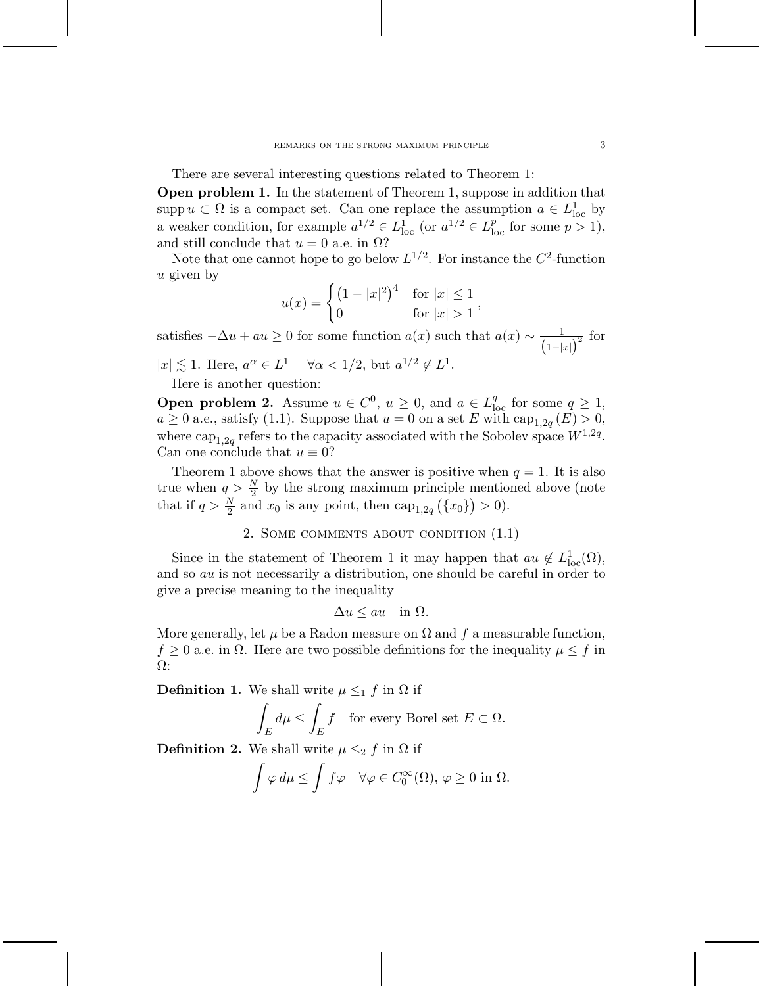There are several interesting questions related to Theorem 1:

**Open problem 1.** In the statement of Theorem 1, suppose in addition that supp  $u \subset \Omega$  is a compact set. Can one replace the assumption  $a \in L^1_{loc}$  by a weaker condition, for example  $a^{1/2} \in L^1_{loc}$  (or  $a^{1/2} \in L^p_{loc}$  for some  $p > 1$ ), and still conclude that  $u = 0$  a.e. in  $\Omega$ ?

Note that one cannot hope to go below  $L^{1/2}$ . For instance the  $C^2$ -function *u* given by

$$
u(x) = \begin{cases} (1 - |x|^2)^4 & \text{for } |x| \le 1 \\ 0 & \text{for } |x| > 1 \end{cases}
$$

satisfies  $-\Delta u + au \geq 0$  for some function  $a(x)$  such that  $a(x) \sim \frac{1}{(1-|x|)^2}$  for  $|x| \lesssim 1$ . Here,  $a^{\alpha} \in L^1$   $\forall \alpha < 1/2$ , but  $a^{1/2} \notin L^1$ .

Here is another question:

**Open problem 2.** Assume  $u \in C^0$ ,  $u \ge 0$ , and  $a \in L^q_{loc}$  for some  $q \ge 1$ ,  $a \geq 0$  a.e., satisfy (1.1). Suppose that  $u = 0$  on a set *E* with  $\text{cap}_{1,2q}(E) > 0$ , where  $\text{cap}_{1,2q}$  refers to the capacity associated with the Sobolev space  $W^{1,2q}$ . Can one conclude that  $u \equiv 0$ ?

Theorem 1 above shows that the answer is positive when  $q = 1$ . It is also true when  $q > \frac{N}{2}$  by the strong maximum principle mentioned above (note that if  $q > \frac{N}{2}$  and  $x_0$  is any point, then cap<sub>1,2*q*</sub> ({ $x_0$ }) > 0).

```
2. Some comments about condition (1.1)
```
Since in the statement of Theorem 1 it may happen that  $au \notin L^1_{loc}(\Omega)$ , and so *au* is not necessarily a distribution, one should be careful in order to give a precise meaning to the inequality

$$
\Delta u \le au \quad \text{in } \Omega.
$$

More generally, let  $\mu$  be a Radon measure on  $\Omega$  and  $f$  a measurable function,  $f \geq 0$  a.e. in  $\Omega$ . Here are two possible definitions for the inequality  $\mu \leq f$  in Ω:

**Definition 1.** We shall write  $\mu \leq_1 f$  in  $\Omega$  if

$$
\int_E d\mu \le \int_E f \quad \text{for every Borel set } E \subset \Omega.
$$

**Definition 2.** We shall write  $\mu \leq_2 f$  in  $\Omega$  if

$$
\int \varphi \, d\mu \le \int f \varphi \quad \forall \varphi \in C_0^{\infty}(\Omega), \varphi \ge 0 \text{ in } \Omega.
$$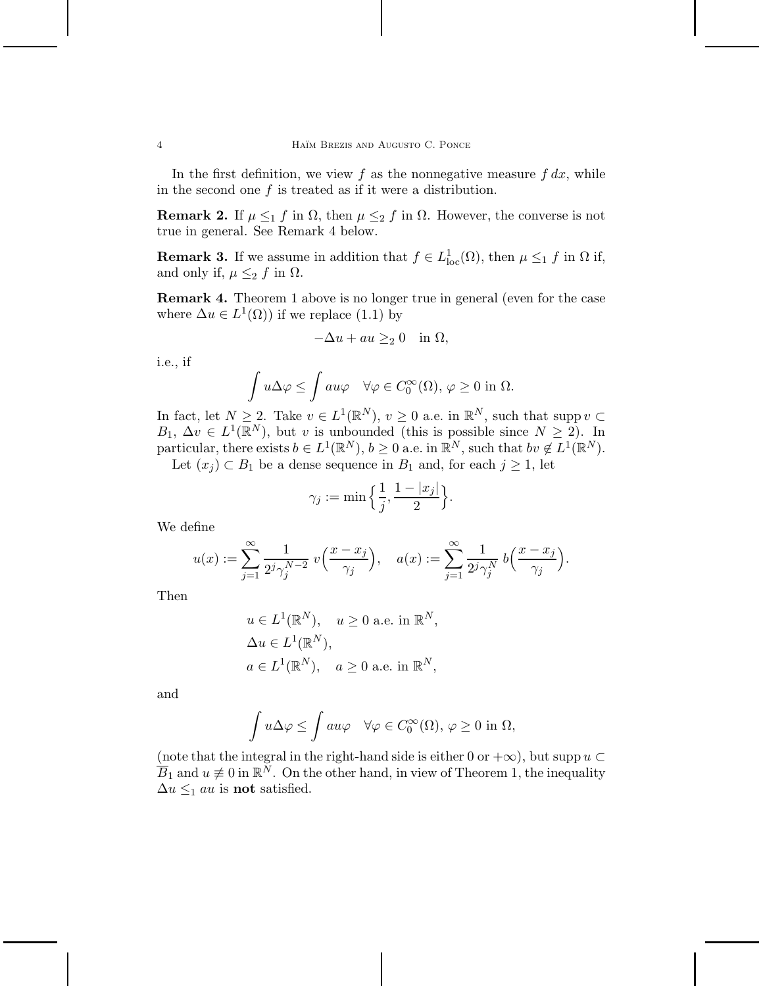In the first definition, we view  $f$  as the nonnegative measure  $f dx$ , while in the second one *f* is treated as if it were a distribution.

**Remark 2.** If  $\mu \leq_1 f$  in  $\Omega$ , then  $\mu \leq_2 f$  in  $\Omega$ . However, the converse is not true in general. See Remark 4 below.

**Remark 3.** If we assume in addition that  $f \in L^1_{loc}(\Omega)$ , then  $\mu \leq_1 f$  in  $\Omega$  if, and only if,  $\mu \leq_2 f$  in  $\Omega$ .

**Remark 4.** Theorem 1 above is no longer true in general (even for the case where  $\Delta u \in L^1(\Omega)$  if we replace (1.1) by

$$
-\Delta u + au \geq_2 0 \quad \text{in } \Omega,
$$

i.e., if

$$
\int u\Delta\varphi \le \int au\varphi \quad \forall \varphi \in C_0^{\infty}(\Omega), \varphi \ge 0 \text{ in } \Omega.
$$

In fact, let  $N \geq 2$ . Take  $v \in L^1(\mathbb{R}^N)$ ,  $v \geq 0$  a.e. in  $\mathbb{R}^N$ , such that supp  $v \subset$  $B_1, \Delta v \in L^1(\mathbb{R}^N)$ , but *v* is unbounded (this is possible since  $N \geq 2$ ). In particular, there exists  $b \in L^1(\mathbb{R}^N)$ ,  $b \ge 0$  a.e. in  $\mathbb{R}^N$ , such that  $bv \notin L^1(\mathbb{R}^N)$ . Let  $(x_j) \subset B_1$  be a dense sequence in  $B_1$  and, for each  $j \ge 1$ , let

$$
\gamma_j:=\min\Big\{\frac{1}{j},\frac{1-|x_j|}{2}\Big\}.
$$

We define

$$
u(x) := \sum_{j=1}^{\infty} \frac{1}{2^j \gamma_j^{N-2}} v\left(\frac{x - x_j}{\gamma_j}\right), \quad a(x) := \sum_{j=1}^{\infty} \frac{1}{2^j \gamma_j^N} b\left(\frac{x - x_j}{\gamma_j}\right).
$$

Then

$$
u \in L^{1}(\mathbb{R}^{N}), \quad u \ge 0 \text{ a.e. in } \mathbb{R}^{N},
$$
  
\n
$$
\Delta u \in L^{1}(\mathbb{R}^{N}),
$$
  
\n
$$
a \in L^{1}(\mathbb{R}^{N}), \quad a \ge 0 \text{ a.e. in } \mathbb{R}^{N},
$$

and

$$
\int u\Delta\varphi\leq \int au\varphi\quad\forall\varphi\in C_0^\infty(\Omega),\,\varphi\geq 0\hbox{ in }\Omega,
$$

(note that the integral in the right-hand side is either 0 or  $+\infty$ ), but supp  $u \subset$  $\overline{B}_1$  and  $u \not\equiv 0$  in  $\mathbb{R}^N$ . On the other hand, in view of Theorem 1, the inequality  $\Delta u \leq_1 au$  is **not** satisfied.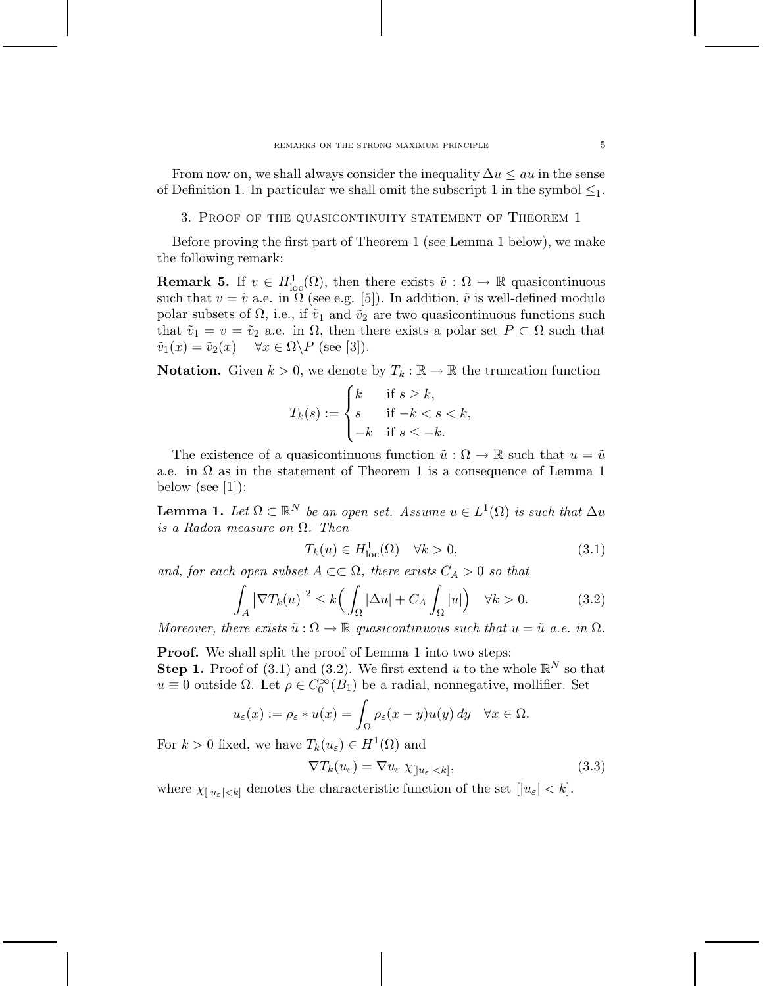From now on, we shall always consider the inequality ∆*u* ≤ *au* in the sense of Definition 1. In particular we shall omit the subscript 1 in the symbol  $\leq_1$ .

3. Proof of the quasicontinuity statement of Theorem 1

Before proving the first part of Theorem 1 (see Lemma 1 below), we make the following remark:

**Remark 5.** If  $v \in H^1_{loc}(\Omega)$ , then there exists  $\tilde{v} : \Omega \to \mathbb{R}$  quasicontinuous such that  $v = \tilde{v}$  a.e. in  $\Omega$  (see e.g. [5]). In addition,  $\tilde{v}$  is well-defined modulo polar subsets of  $\Omega$ , i.e., if  $\tilde{v}_1$  and  $\tilde{v}_2$  are two quasicontinuous functions such that  $\tilde{v}_1 = v = \tilde{v}_2$  a.e. in  $\Omega$ , then there exists a polar set  $P \subset \Omega$  such that  $\tilde{v}_1(x) = \tilde{v}_2(x) \quad \forall x \in \Omega \backslash P \text{ (see [3]).}$ 

**Notation.** Given  $k > 0$ , we denote by  $T_k : \mathbb{R} \to \mathbb{R}$  the truncation function

$$
T_k(s) := \begin{cases} k & \text{if } s \ge k, \\ s & \text{if } -k < s < k, \\ -k & \text{if } s \le -k. \end{cases}
$$

The existence of a quasicontinuous function  $\tilde{u}: \Omega \to \mathbb{R}$  such that  $u = \tilde{u}$ a.e. in  $\Omega$  as in the statement of Theorem 1 is a consequence of Lemma 1 below (see  $[1]$ ):

**Lemma 1.** *Let*  $\Omega \subset \mathbb{R}^N$  *be an open set. Assume*  $u \in L^1(\Omega)$  *is such that*  $\Delta u$ *is a Radon measure on* Ω*. Then*

$$
T_k(u) \in H^1_{loc}(\Omega) \quad \forall k > 0,
$$
\n(3.1)

*and, for each open subset*  $A \subset\subset \Omega$ *, there exists*  $C_A > 0$  *so that* 

$$
\int_{A} \left| \nabla T_k(u) \right|^2 \le k \Big( \int_{\Omega} |\Delta u| + C_A \int_{\Omega} |u| \Big) \quad \forall k > 0. \tag{3.2}
$$

*Moreover, there exists*  $\tilde{u}: \Omega \to \mathbb{R}$  *quasicontinuous such that*  $u = \tilde{u}$  *a.e.* in  $\Omega$ *.* 

**Proof.** We shall split the proof of Lemma 1 into two steps: **Step 1.** Proof of (3.1) and (3.2). We first extend *u* to the whole  $\mathbb{R}^N$  so that  $u \equiv 0$  outside  $\Omega$ . Let  $\rho \in C_0^{\infty}(B_1)$  be a radial, nonnegative, mollifier. Set

$$
u_\varepsilon(x):=\rho_\varepsilon*u(x)=\int_\Omega\rho_\varepsilon(x-y)u(y)\,dy\quad\forall x\in\Omega.
$$

For  $k > 0$  fixed, we have  $T_k(u_\varepsilon) \in H^1(\Omega)$  and

$$
\nabla T_k(u_\varepsilon) = \nabla u_\varepsilon \chi_{[|u_\varepsilon| < k]},\tag{3.3}
$$

where  $\chi_{\{|u_{\varepsilon}| < k\}}$  denotes the characteristic function of the set  $\{|u_{\varepsilon}| < k\}.$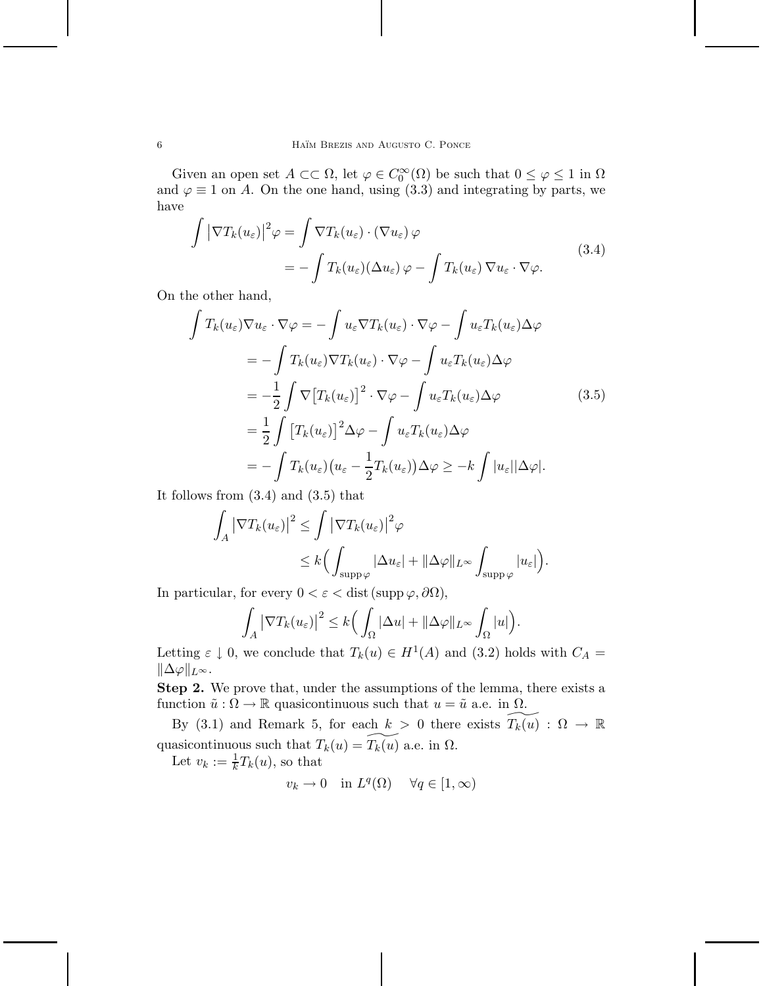Given an open set  $A \subset\subset \Omega$ , let  $\varphi \in C_0^{\infty}(\Omega)$  be such that  $0 \leq \varphi \leq 1$  in  $\Omega$ and  $\varphi \equiv 1$  on *A*. On the one hand, using (3.3) and integrating by parts, we have

$$
\int |\nabla T_k(u_\varepsilon)|^2 \varphi = \int \nabla T_k(u_\varepsilon) \cdot (\nabla u_\varepsilon) \varphi
$$
\n
$$
= -\int T_k(u_\varepsilon)(\Delta u_\varepsilon) \varphi - \int T_k(u_\varepsilon) \nabla u_\varepsilon \cdot \nabla \varphi.
$$
\n(3.4)

On the other hand,

$$
\int T_k(u_{\varepsilon}) \nabla u_{\varepsilon} \cdot \nabla \varphi = -\int u_{\varepsilon} \nabla T_k(u_{\varepsilon}) \cdot \nabla \varphi - \int u_{\varepsilon} T_k(u_{\varepsilon}) \Delta \varphi
$$
  
\n
$$
= -\int T_k(u_{\varepsilon}) \nabla T_k(u_{\varepsilon}) \cdot \nabla \varphi - \int u_{\varepsilon} T_k(u_{\varepsilon}) \Delta \varphi
$$
  
\n
$$
= -\frac{1}{2} \int \nabla [T_k(u_{\varepsilon})]^2 \cdot \nabla \varphi - \int u_{\varepsilon} T_k(u_{\varepsilon}) \Delta \varphi
$$
  
\n
$$
= \frac{1}{2} \int [T_k(u_{\varepsilon})]^2 \Delta \varphi - \int u_{\varepsilon} T_k(u_{\varepsilon}) \Delta \varphi
$$
  
\n
$$
= -\int T_k(u_{\varepsilon}) (u_{\varepsilon} - \frac{1}{2} T_k(u_{\varepsilon})) \Delta \varphi \ge -k \int |u_{\varepsilon}| |\Delta \varphi|.
$$
 (3.5)

It follows from (3.4) and (3.5) that

$$
\int_A |\nabla T_k(u_\varepsilon)|^2 \le \int |\nabla T_k(u_\varepsilon)|^2 \varphi
$$
  

$$
\le k \Big(\int_{\mathrm{supp}\varphi} |\Delta u_\varepsilon| + ||\Delta \varphi||_{L^\infty} \int_{\mathrm{supp}\varphi} |u_\varepsilon|\Big).
$$

In particular, for every  $0 < \varepsilon <$  dist (supp  $\varphi$ ,  $\partial\Omega$ ),

$$
\int_A |\nabla T_k(u_\varepsilon)|^2 \leq k \Big( \int_\Omega |\Delta u| + ||\Delta \varphi||_{L^\infty} \int_\Omega |u| \Big).
$$

Letting  $\varepsilon \downarrow 0$ , we conclude that  $T_k(u) \in H^1(A)$  and (3.2) holds with  $C_A =$  $\|\Delta\varphi\|_{L^{\infty}}$ .

**Step 2.** We prove that, under the assumptions of the lemma, there exists a function  $\tilde{u}: \Omega \to \mathbb{R}$  quasicontinuous such that  $u = \tilde{u}$  a.e. in  $\Omega$ .

By (3.1) and Remark 5, for each  $k > 0$  there exists  $T_k(u): \Omega \to \mathbb{R}$ quasicontinuous such that  $T_k(u) = T_k(u)$  a.e. in  $\Omega$ .

Let  $v_k := \frac{1}{k}T_k(u)$ , so that

$$
v_k \to 0 \quad \text{in } L^q(\Omega) \quad \forall q \in [1, \infty)
$$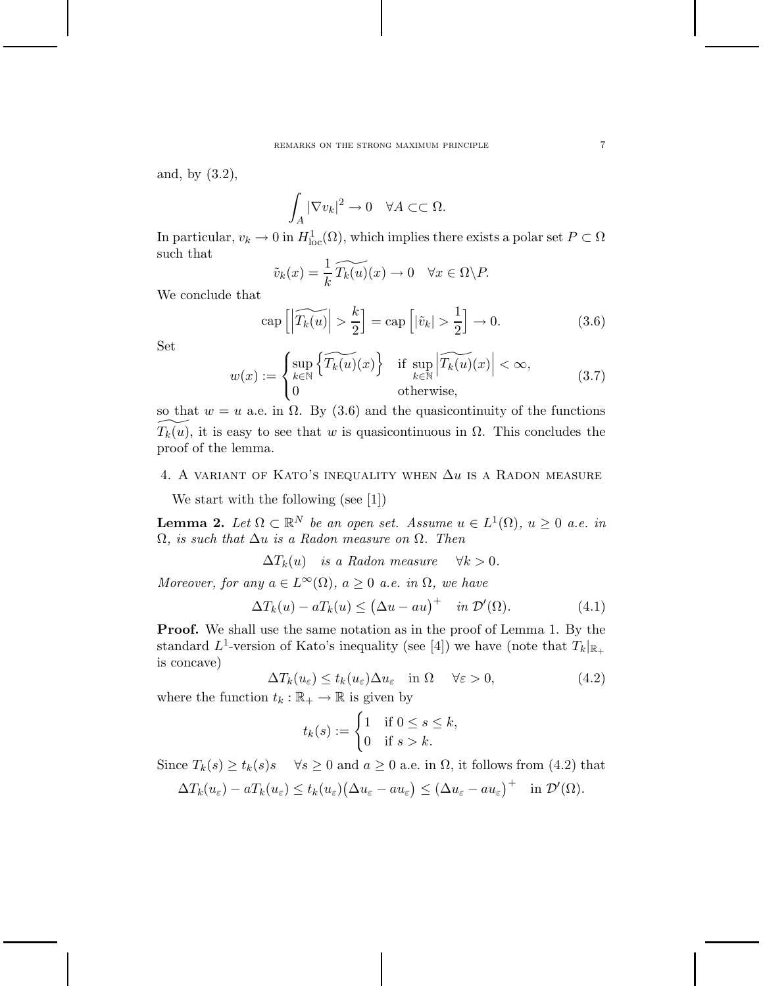and, by (3.2),

$$
\int_A |\nabla v_k|^2 \to 0 \quad \forall A \subset\subset \Omega.
$$

In particular,  $v_k \to 0$  in  $H^1_{loc}(\Omega)$ , which implies there exists a polar set  $P \subset \Omega$ such that

$$
\tilde{v}_k(x) = \frac{1}{k} \widetilde{T_k(u)}(x) \to 0 \quad \forall x \in \Omega \backslash P.
$$

We conclude that

$$
\operatorname{cap}\left[\left|\widetilde{T_k(u)}\right| > \frac{k}{2}\right] = \operatorname{cap}\left[\left|\tilde{v}_k\right| > \frac{1}{2}\right] \to 0. \tag{3.6}
$$

Set

$$
w(x) := \begin{cases} \sup_{k \in \mathbb{N}} \left\{ \widetilde{T_k(u)}(x) \right\} & \text{if } \sup_{k \in \mathbb{N}} \left| \widetilde{T_k(u)}(x) \right| < \infty, \\ 0 & \text{otherwise,} \end{cases} \tag{3.7}
$$

so that  $w = u$  a.e. in  $\Omega$ . By (3.6) and the quasicontinuity of the functions  $\widetilde{T}_k(u)$ , it is easy to see that *w* is quasicontinuous in  $\Omega$ . This concludes the proof of the lemma.

## 4. A variant of Kato's inequality when ∆*u* is a Radon measure

We start with the following (see [1])

**Lemma 2.** *Let*  $\Omega \subset \mathbb{R}^N$  *be an open set. Assume*  $u \in L^1(\Omega)$ *,*  $u \geq 0$  *a.e. in* Ω*, is such that* ∆*u is a Radon measure on* Ω*. Then*

 $\Delta T_k(u)$  *is a Radon measure*  $\forall k > 0$ *.* 

*Moreover, for any*  $a \in L^{\infty}(\Omega)$ *,*  $a \geq 0$  *a.e. in*  $\Omega$ *, we have* 

$$
\Delta T_k(u) - aT_k(u) \le (\Delta u - au)^+ \quad in \ \mathcal{D}'(\Omega). \tag{4.1}
$$

**Proof.** We shall use the same notation as in the proof of Lemma 1. By the standard  $L^1$ -version of Kato's inequality (see [4]) we have (note that  $T_k|_{\mathbb{R}_+}$ is concave)

$$
\Delta T_k(u_{\varepsilon}) \le t_k(u_{\varepsilon}) \Delta u_{\varepsilon} \quad \text{in } \Omega \qquad \forall \varepsilon > 0,
$$
\n
$$
\text{on } t_k : \mathbb{R}_+ \to \mathbb{R} \text{ is given by} \tag{4.2}
$$

where the function  $t_k:\mathbb{R}_+\to\mathbb{R}$  is given by

$$
t_k(s) := \begin{cases} 1 & \text{if } 0 \le s \le k, \\ 0 & \text{if } s > k. \end{cases}
$$

Since  $T_k(s) \ge t_k(s)$   $\forall s \ge 0$  and  $a \ge 0$  a.e. in  $\Omega$ , it follows from (4.2) that  $\Delta T_k(u_\varepsilon) - aT_k(u_\varepsilon) \le t_k(u_\varepsilon) (\Delta u_\varepsilon - au_\varepsilon) \le (\Delta u_\varepsilon - au_\varepsilon)^+ \quad \text{in } \mathcal{D}'(\Omega).$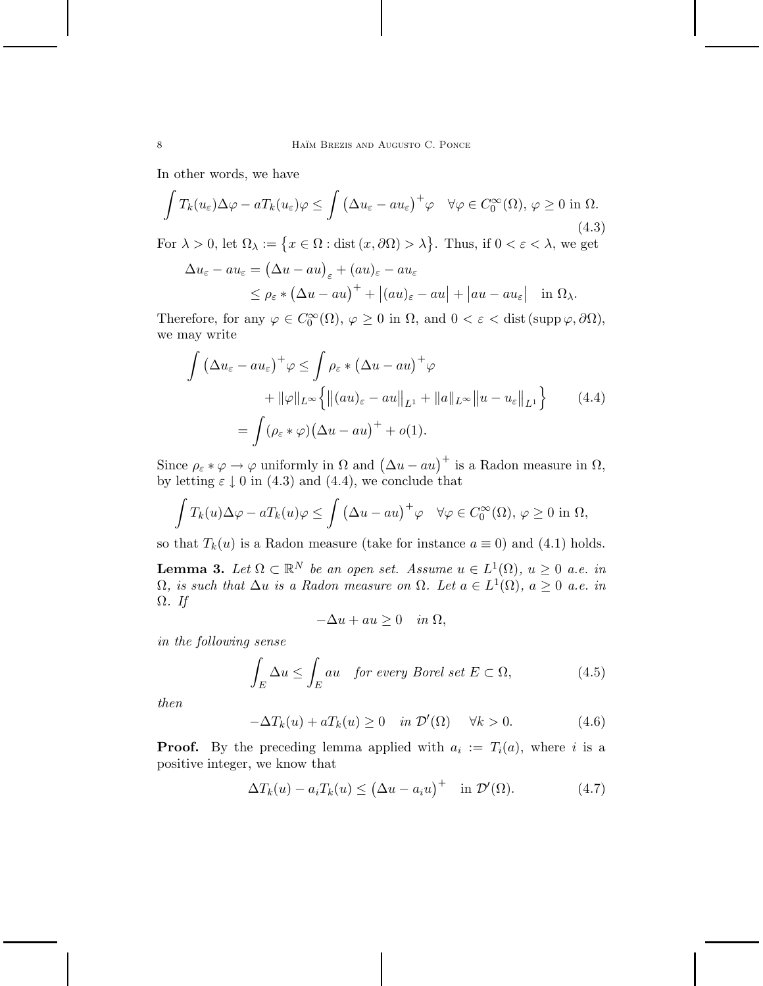In other words, we have

$$
\int T_k(u_\varepsilon)\Delta\varphi - aT_k(u_\varepsilon)\varphi \le \int \left(\Delta u_\varepsilon - au_\varepsilon\right)^+ \varphi \quad \forall \varphi \in C_0^\infty(\Omega), \, \varphi \ge 0 \text{ in } \Omega. \tag{4.3}
$$

For  $\lambda > 0$ , let  $\Omega_{\lambda} := \{x \in \Omega : \text{dist}(x, \partial \Omega) > \lambda\}$ . Thus, if  $0 < \varepsilon < \lambda$ , we get

$$
\Delta u_{\varepsilon} - au_{\varepsilon} = (\Delta u - au)_{\varepsilon} + (au)_{\varepsilon} - au_{\varepsilon}
$$
  
 
$$
\leq \rho_{\varepsilon} * (\Delta u - au)^{+} + |(au)_{\varepsilon} - au| + |au - au_{\varepsilon}| \quad \text{in } \Omega_{\lambda}.
$$

Therefore, for any  $\varphi \in C_0^{\infty}(\Omega)$ ,  $\varphi \ge 0$  in  $\Omega$ , and  $0 < \varepsilon <$  dist (supp  $\varphi$ ,  $\partial\Omega$ ), we may write

$$
\int \left(\Delta u_{\varepsilon} - au_{\varepsilon}\right)^{+} \varphi \leq \int \rho_{\varepsilon} * \left(\Delta u - au\right)^{+} \varphi
$$
  
+ 
$$
\|\varphi\|_{L^{\infty}} \left\{ \left\|(au)_{\varepsilon} - au\right\|_{L^{1}} + \|a\|_{L^{\infty}} \left\|u - u_{\varepsilon}\right\|_{L^{1}} \right\}
$$
  
= 
$$
\int (\rho_{\varepsilon} * \varphi) \left(\Delta u - au\right)^{+} + o(1).
$$
 (4.4)

Since  $\rho_{\varepsilon} * \varphi \to \varphi$  uniformly in  $\Omega$  and  $(\Delta u - au)^+$  is a Radon measure in  $\Omega$ , by letting  $\varepsilon \downarrow 0$  in (4.3) and (4.4), we conclude that

$$
\int T_k(u)\Delta\varphi - aT_k(u)\varphi \le \int (\Delta u - au)^+ \varphi \quad \forall \varphi \in C_0^{\infty}(\Omega), \varphi \ge 0 \text{ in } \Omega,
$$

so that  $T_k(u)$  is a Radon measure (take for instance  $a \equiv 0$ ) and (4.1) holds.

**Lemma 3.** *Let*  $\Omega \subset \mathbb{R}^N$  *be an open set. Assume*  $u \in L^1(\Omega)$ *,*  $u \geq 0$  *a.e. in* Ω*, is such that* ∆*u is a Radon measure on* Ω*. Let a* ∈ *L*1(Ω)*, a* ≥ 0 *a.e. in* Ω*. If*

$$
-\Delta u + au \ge 0 \quad in \ \Omega,
$$

*in the following sense*

$$
\int_{E} \Delta u \le \int_{E} au \quad \text{for every Borel set } E \subset \Omega,
$$
\n(4.5)

*then*

$$
-\Delta T_k(u) + aT_k(u) \ge 0 \quad \text{in } \mathcal{D}'(\Omega) \quad \forall k > 0. \tag{4.6}
$$

**Proof.** By the preceding lemma applied with  $a_i := T_i(a)$ , where *i* is a positive integer, we know that

$$
\Delta T_k(u) - a_i T_k(u) \le (\Delta u - a_i u)^+ \quad \text{in } \mathcal{D}'(\Omega). \tag{4.7}
$$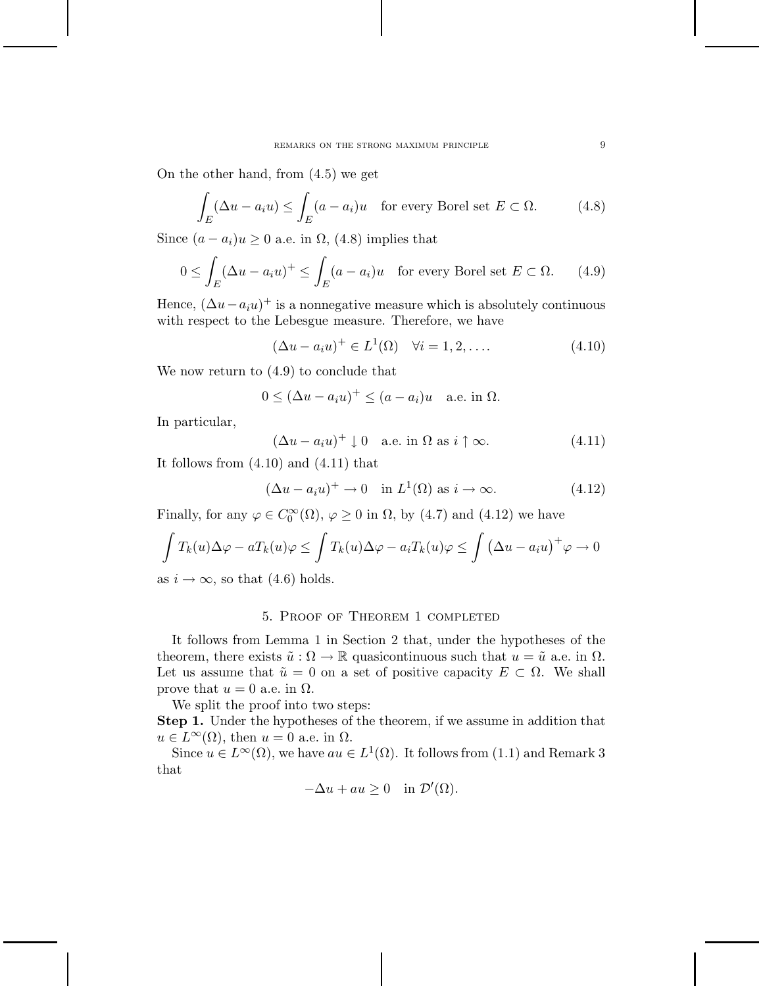On the other hand, from (4.5) we get

$$
\int_{E} (\Delta u - a_i u) \le \int_{E} (a - a_i) u \quad \text{for every Borel set } E \subset \Omega.
$$
 (4.8)

Since  $(a - a_i)u \geq 0$  a.e. in  $\Omega$ , (4.8) implies that

$$
0 \le \int_E (\Delta u - a_i u)^+ \le \int_E (a - a_i) u \quad \text{for every Borel set } E \subset \Omega. \tag{4.9}
$$

Hence,  $(\Delta u - a_i u)^+$  is a nonnegative measure which is absolutely continuous with respect to the Lebesgue measure. Therefore, we have

$$
(\Delta u - a_i u)^+ \in L^1(\Omega) \quad \forall i = 1, 2, \dots \tag{4.10}
$$

We now return to (4.9) to conclude that

$$
0 \leq (\Delta u - a_i u)^+ \leq (a - a_i)u \quad \text{a.e. in } \Omega.
$$

In particular,

$$
(\Delta u - a_i u)^+ \downarrow 0 \quad \text{a.e. in } \Omega \text{ as } i \uparrow \infty. \tag{4.11}
$$

It follows from (4.10) and (4.11) that

$$
(\Delta u - a_i u)^+ \to 0 \quad \text{in } L^1(\Omega) \text{ as } i \to \infty. \tag{4.12}
$$

Finally, for any  $\varphi \in C_0^{\infty}(\Omega)$ ,  $\varphi \ge 0$  in  $\Omega$ , by (4.7) and (4.12) we have

$$
\int T_k(u)\Delta\varphi - aT_k(u)\varphi \le \int T_k(u)\Delta\varphi - a_iT_k(u)\varphi \le \int (\Delta u - a_iu)^+ \varphi \to 0
$$

as  $i \to \infty$ , so that (4.6) holds.

### 5. Proof of Theorem 1 completed

It follows from Lemma 1 in Section 2 that, under the hypotheses of the theorem, there exists  $\tilde{u}: \Omega \to \mathbb{R}$  quasicontinuous such that  $u = \tilde{u}$  a.e. in  $\Omega$ . Let us assume that  $\tilde{u} = 0$  on a set of positive capacity  $E \subset \Omega$ . We shall prove that  $u = 0$  a.e. in  $\Omega$ .

We split the proof into two steps:

**Step 1.** Under the hypotheses of the theorem, if we assume in addition that  $u \in L^{\infty}(\Omega)$ , then  $u = 0$  a.e. in  $\Omega$ .

Since  $u \in L^{\infty}(\Omega)$ , we have  $au \in L^{1}(\Omega)$ . It follows from (1.1) and Remark 3 that

$$
-\Delta u + au \ge 0 \quad \text{in } \mathcal{D}'(\Omega).
$$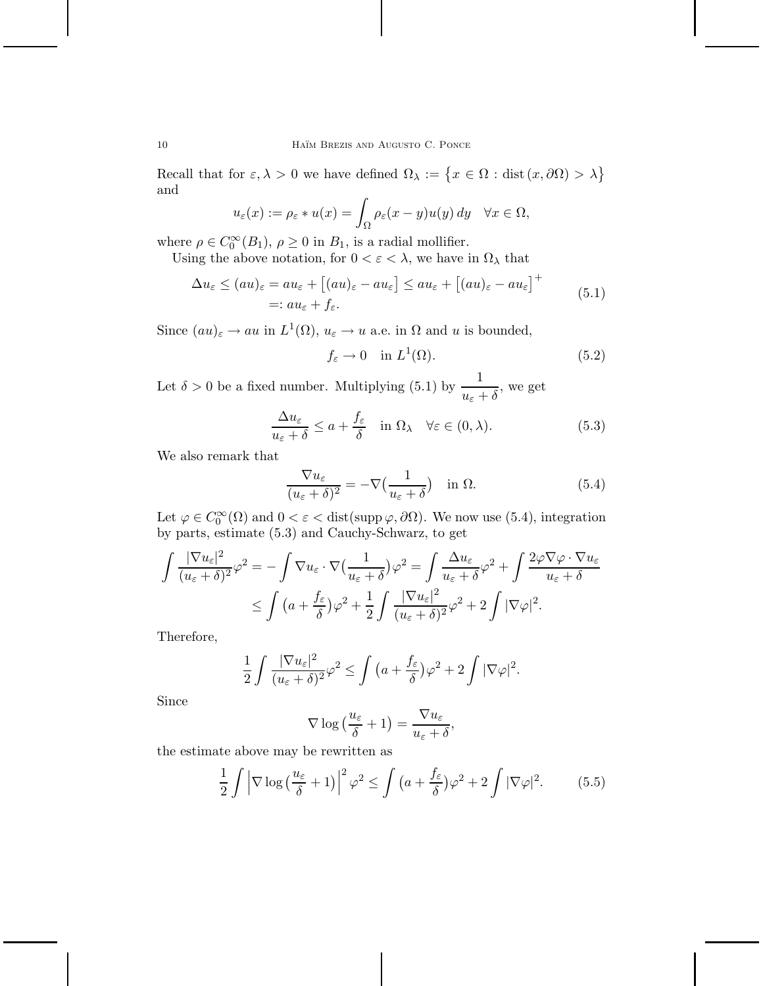10 **HAÏM BREZIS AND AUGUSTO C. PONCE** 

Recall that for  $\varepsilon, \lambda > 0$  we have defined  $\Omega_{\lambda} := \{x \in \Omega : \text{dist}(x, \partial \Omega) > \lambda\}$ and

$$
u_\varepsilon(x):=\rho_\varepsilon*u(x)=\int_\Omega\rho_\varepsilon(x-y)u(y)\,dy\quad\forall x\in\Omega,
$$

where  $\rho \in C_0^{\infty}(B_1)$ ,  $\rho \ge 0$  in  $B_1$ , is a radial mollifier.

Using the above notation, for  $0<\varepsilon<\lambda,$  we have in  $\Omega_\lambda$  that

$$
\Delta u_{\varepsilon} \le (au)_{\varepsilon} = au_{\varepsilon} + [(au)_{\varepsilon} - au_{\varepsilon}] \le au_{\varepsilon} + [(au)_{\varepsilon} - au_{\varepsilon}]^+\n= : au_{\varepsilon} + f_{\varepsilon}.
$$
\n(5.1)

Since  $(au)_{\varepsilon} \to au$  in  $L^1(\Omega)$ ,  $u_{\varepsilon} \to u$  a.e. in  $\Omega$  and *u* is bounded,

$$
f_{\varepsilon} \to 0 \quad \text{in } L^{1}(\Omega). \tag{5.2}
$$

Let  $\delta > 0$  be a fixed number. Multiplying (5.1) by  $\frac{1}{\sqrt{1-\delta}}$  $\frac{1}{u_{\varepsilon} + \delta}$ , we get

$$
\frac{\Delta u_{\varepsilon}}{u_{\varepsilon} + \delta} \le a + \frac{f_{\varepsilon}}{\delta} \quad \text{in } \Omega_{\lambda} \quad \forall \varepsilon \in (0, \lambda). \tag{5.3}
$$

We also remark that

$$
\frac{\nabla u_{\varepsilon}}{(u_{\varepsilon} + \delta)^2} = -\nabla \left(\frac{1}{u_{\varepsilon} + \delta}\right) \quad \text{in } \Omega. \tag{5.4}
$$

Let  $\varphi \in C_0^{\infty}(\Omega)$  and  $0 < \varepsilon <$  dist(supp  $\varphi, \partial \Omega$ ). We now use (5.4), integration by parts, estimate (5.3) and Cauchy-Schwarz, to get

$$
\int \frac{|\nabla u_{\varepsilon}|^2}{(u_{\varepsilon}+\delta)^2} \varphi^2 = -\int \nabla u_{\varepsilon} \cdot \nabla \left(\frac{1}{u_{\varepsilon}+\delta}\right) \varphi^2 = \int \frac{\Delta u_{\varepsilon}}{u_{\varepsilon}+\delta} \varphi^2 + \int \frac{2\varphi \nabla \varphi \cdot \nabla u_{\varepsilon}}{u_{\varepsilon}+\delta}
$$
  
 
$$
\leq \int \left(a + \frac{f_{\varepsilon}}{\delta}\right) \varphi^2 + \frac{1}{2} \int \frac{|\nabla u_{\varepsilon}|^2}{(u_{\varepsilon}+\delta)^2} \varphi^2 + 2 \int |\nabla \varphi|^2.
$$

Therefore,

$$
\frac{1}{2} \int \frac{|\nabla u_{\varepsilon}|^2}{(u_{\varepsilon} + \delta)^2} \varphi^2 \le \int \left( a + \frac{f_{\varepsilon}}{\delta} \right) \varphi^2 + 2 \int |\nabla \varphi|^2.
$$

Since

$$
\nabla \log \left( \frac{u_{\varepsilon}}{\delta} + 1 \right) = \frac{\nabla u_{\varepsilon}}{u_{\varepsilon} + \delta},
$$

the estimate above may be rewritten as

$$
\frac{1}{2} \int \left| \nabla \log \left( \frac{u_{\varepsilon}}{\delta} + 1 \right) \right|^2 \varphi^2 \le \int \left( a + \frac{f_{\varepsilon}}{\delta} \right) \varphi^2 + 2 \int |\nabla \varphi|^2. \tag{5.5}
$$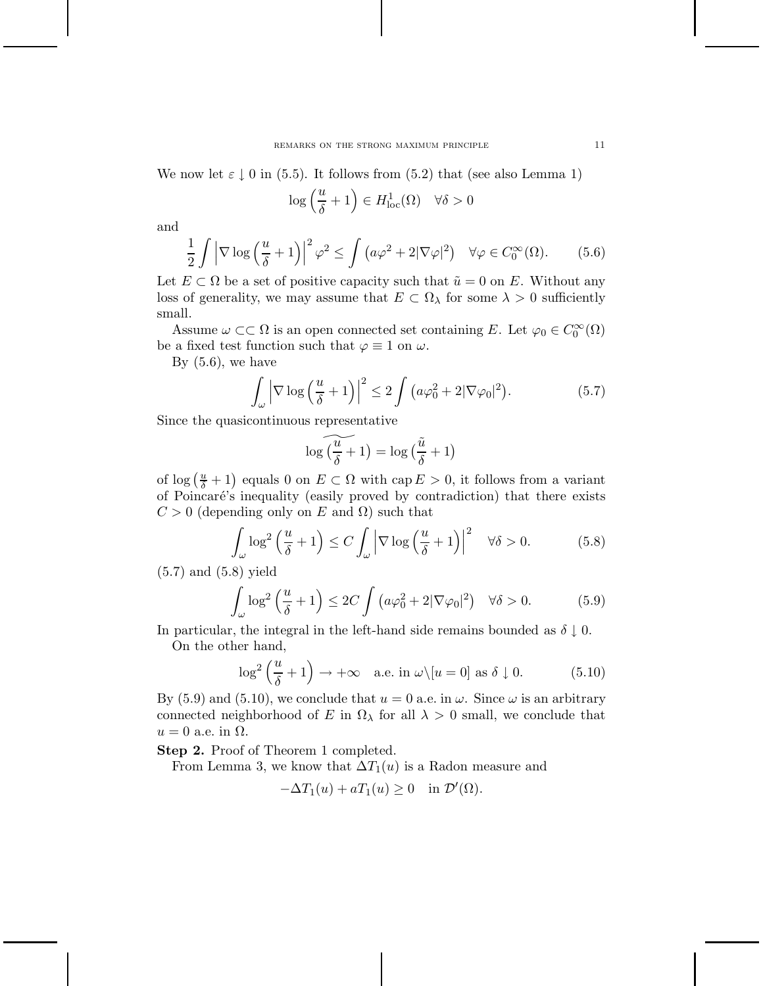We now let  $\varepsilon \downarrow 0$  in (5.5). It follows from (5.2) that (see also Lemma 1)

$$
\log\left(\frac{u}{\delta} + 1\right) \in H^1_{\text{loc}}(\Omega) \quad \forall \delta > 0
$$

and

$$
\frac{1}{2} \int \left| \nabla \log \left( \frac{u}{\delta} + 1 \right) \right|^2 \varphi^2 \le \int \left( a\varphi^2 + 2|\nabla \varphi|^2 \right) \quad \forall \varphi \in C_0^{\infty}(\Omega). \tag{5.6}
$$

Let  $E \subset \Omega$  be a set of positive capacity such that  $\tilde{u} = 0$  on *E*. Without any loss of generality, we may assume that  $E \subset \Omega_\lambda$  for some  $\lambda > 0$  sufficiently small.

Assume  $\omega \subset\subset \Omega$  is an open connected set containing *E*. Let  $\varphi_0 \in C_0^{\infty}(\Omega)$ be a fixed test function such that  $\varphi \equiv 1$  on  $\omega$ .

By  $(5.6)$ , we have

$$
\int_{\omega} \left| \nabla \log \left( \frac{u}{\delta} + 1 \right) \right|^2 \le 2 \int \left( a\varphi_0^2 + 2|\nabla \varphi_0|^2 \right). \tag{5.7}
$$

Since the quasicontinuous representative

$$
\log\widetilde{\big(\frac{u}{\delta}+1\big)}=\log\big(\frac{\tilde{u}}{\delta}+1\big)
$$

of  $\log\left(\frac{u}{\delta}+1\right)$  equals 0 on  $E\subset\Omega$  with  $\text{cap }E>0$ , it follows from a variant of Poincar´e's inequality (easily proved by contradiction) that there exists  $C > 0$  (depending only on *E* and  $\Omega$ ) such that

$$
\int_{\omega} \log^2 \left( \frac{u}{\delta} + 1 \right) \le C \int_{\omega} \left| \nabla \log \left( \frac{u}{\delta} + 1 \right) \right|^2 \quad \forall \delta > 0. \tag{5.8}
$$

(5.7) and (5.8) yield

$$
\int_{\omega} \log^2 \left( \frac{u}{\delta} + 1 \right) \le 2C \int \left( a\varphi_0^2 + 2|\nabla \varphi_0|^2 \right) \quad \forall \delta > 0. \tag{5.9}
$$

In particular, the integral in the left-hand side remains bounded as  $\delta \downarrow 0$ . On the other hand,

$$
\log^2\left(\frac{u}{\delta} + 1\right) \to +\infty \quad \text{a.e. in } \omega \setminus [u = 0] \text{ as } \delta \downarrow 0. \tag{5.10}
$$

By (5.9) and (5.10), we conclude that  $u = 0$  a.e. in  $\omega$ . Since  $\omega$  is an arbitrary connected neighborhood of *E* in  $\Omega_{\lambda}$  for all  $\lambda > 0$  small, we conclude that  $u = 0$  a.e. in  $\Omega$ .

**Step 2.** Proof of Theorem 1 completed.

From Lemma 3, we know that  $\Delta T_1(u)$  is a Radon measure and

$$
-\Delta T_1(u) + aT_1(u) \ge 0 \quad \text{in } \mathcal{D}'(\Omega).
$$